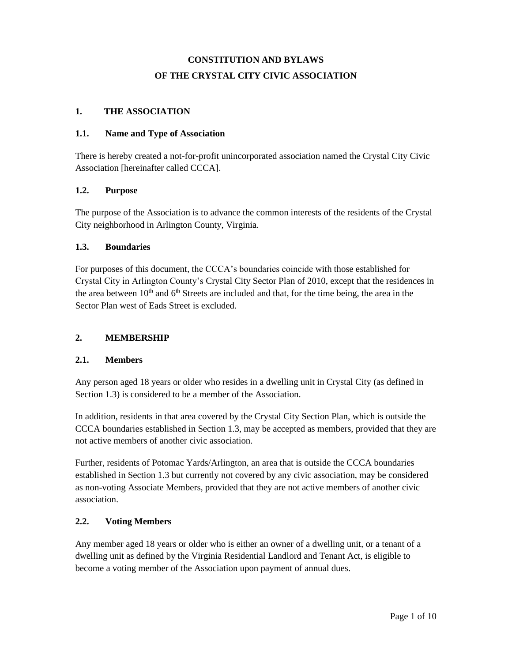# **CONSTITUTION AND BYLAWS OF THE CRYSTAL CITY CIVIC ASSOCIATION**

#### **1. THE ASSOCIATION**

#### **1.1. Name and Type of Association**

There is hereby created a not-for-profit unincorporated association named the Crystal City Civic Association [hereinafter called CCCA].

#### **1.2. Purpose**

The purpose of the Association is to advance the common interests of the residents of the Crystal City neighborhood in Arlington County, Virginia.

#### **1.3. Boundaries**

For purposes of this document, the CCCA's boundaries coincide with those established for Crystal City in Arlington County's Crystal City Sector Plan of 2010, except that the residences in the area between  $10<sup>th</sup>$  and  $6<sup>th</sup>$  Streets are included and that, for the time being, the area in the Sector Plan west of Eads Street is excluded.

### **2. MEMBERSHIP**

### **2.1. Members**

Any person aged 18 years or older who resides in a dwelling unit in Crystal City (as defined in Section 1.3) is considered to be a member of the Association.

In addition, residents in that area covered by the Crystal City Section Plan, which is outside the CCCA boundaries established in Section 1.3, may be accepted as members, provided that they are not active members of another civic association.

Further, residents of Potomac Yards/Arlington, an area that is outside the CCCA boundaries established in Section 1.3 but currently not covered by any civic association, may be considered as non-voting Associate Members, provided that they are not active members of another civic association.

### **2.2. Voting Members**

Any member aged 18 years or older who is either an owner of a dwelling unit, or a tenant of a dwelling unit as defined by the Virginia Residential Landlord and Tenant Act, is eligible to become a voting member of the Association upon payment of annual dues.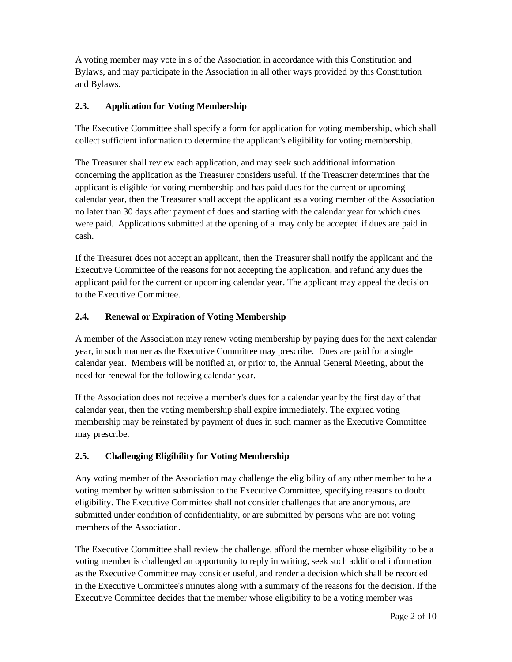A voting member may vote in s of the Association in accordance with this Constitution and Bylaws, and may participate in the Association in all other ways provided by this Constitution and Bylaws.

### **2.3. Application for Voting Membership**

The Executive Committee shall specify a form for application for voting membership, which shall collect sufficient information to determine the applicant's eligibility for voting membership.

The Treasurer shall review each application, and may seek such additional information concerning the application as the Treasurer considers useful. If the Treasurer determines that the applicant is eligible for voting membership and has paid dues for the current or upcoming calendar year, then the Treasurer shall accept the applicant as a voting member of the Association no later than 30 days after payment of dues and starting with the calendar year for which dues were paid. Applications submitted at the opening of a may only be accepted if dues are paid in cash.

If the Treasurer does not accept an applicant, then the Treasurer shall notify the applicant and the Executive Committee of the reasons for not accepting the application, and refund any dues the applicant paid for the current or upcoming calendar year. The applicant may appeal the decision to the Executive Committee.

# **2.4. Renewal or Expiration of Voting Membership**

A member of the Association may renew voting membership by paying dues for the next calendar year, in such manner as the Executive Committee may prescribe. Dues are paid for a single calendar year. Members will be notified at, or prior to, the Annual General Meeting, about the need for renewal for the following calendar year.

If the Association does not receive a member's dues for a calendar year by the first day of that calendar year, then the voting membership shall expire immediately. The expired voting membership may be reinstated by payment of dues in such manner as the Executive Committee may prescribe.

# **2.5. Challenging Eligibility for Voting Membership**

Any voting member of the Association may challenge the eligibility of any other member to be a voting member by written submission to the Executive Committee, specifying reasons to doubt eligibility. The Executive Committee shall not consider challenges that are anonymous, are submitted under condition of confidentiality, or are submitted by persons who are not voting members of the Association.

The Executive Committee shall review the challenge, afford the member whose eligibility to be a voting member is challenged an opportunity to reply in writing, seek such additional information as the Executive Committee may consider useful, and render a decision which shall be recorded in the Executive Committee's minutes along with a summary of the reasons for the decision. If the Executive Committee decides that the member whose eligibility to be a voting member was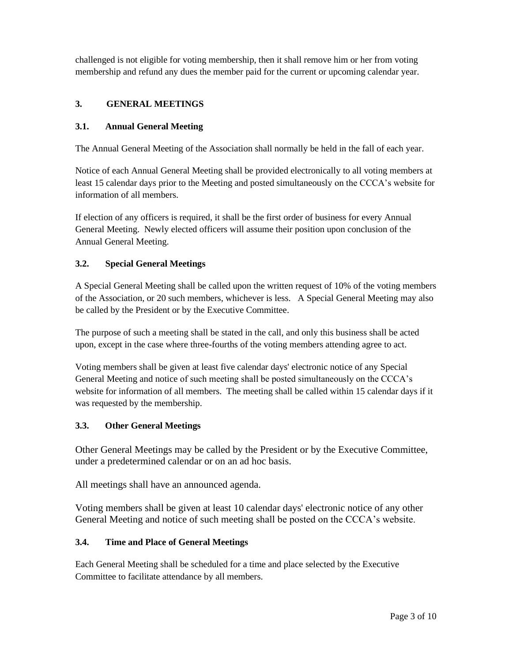challenged is not eligible for voting membership, then it shall remove him or her from voting membership and refund any dues the member paid for the current or upcoming calendar year.

### **3. GENERAL MEETINGS**

### **3.1. Annual General Meeting**

The Annual General Meeting of the Association shall normally be held in the fall of each year.

Notice of each Annual General Meeting shall be provided electronically to all voting members at least 15 calendar days prior to the Meeting and posted simultaneously on the CCCA's website for information of all members.

If election of any officers is required, it shall be the first order of business for every Annual General Meeting. Newly elected officers will assume their position upon conclusion of the Annual General Meeting.

### **3.2. Special General Meetings**

A Special General Meeting shall be called upon the written request of 10% of the voting members of the Association, or 20 such members, whichever is less. A Special General Meeting may also be called by the President or by the Executive Committee.

The purpose of such a meeting shall be stated in the call, and only this business shall be acted upon, except in the case where three-fourths of the voting members attending agree to act.

Voting members shall be given at least five calendar days' electronic notice of any Special General Meeting and notice of such meeting shall be posted simultaneously on the CCCA's website for information of all members. The meeting shall be called within 15 calendar days if it was requested by the membership.

### **3.3. Other General Meetings**

Other General Meetings may be called by the President or by the Executive Committee, under a predetermined calendar or on an ad hoc basis.

All meetings shall have an announced agenda.

Voting members shall be given at least 10 calendar days' electronic notice of any other General Meeting and notice of such meeting shall be posted on the CCCA's website.

### **3.4. Time and Place of General Meetings**

Each General Meeting shall be scheduled for a time and place selected by the Executive Committee to facilitate attendance by all members.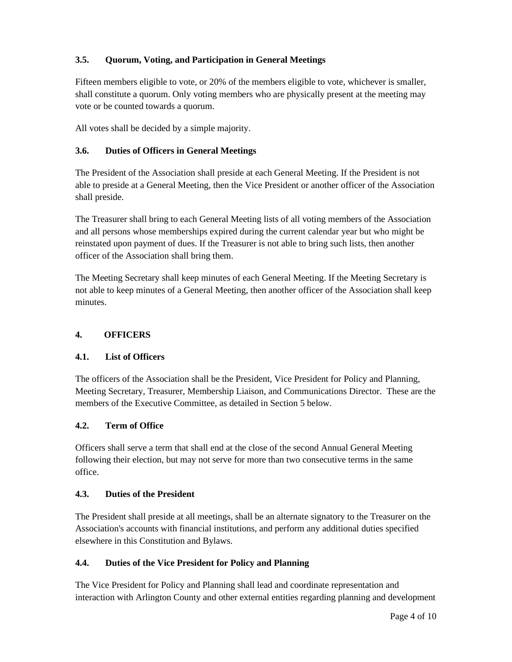### **3.5. Quorum, Voting, and Participation in General Meetings**

Fifteen members eligible to vote, or 20% of the members eligible to vote, whichever is smaller, shall constitute a quorum. Only voting members who are physically present at the meeting may vote or be counted towards a quorum.

All votes shall be decided by a simple majority.

### **3.6. Duties of Officers in General Meetings**

The President of the Association shall preside at each General Meeting. If the President is not able to preside at a General Meeting, then the Vice President or another officer of the Association shall preside.

The Treasurer shall bring to each General Meeting lists of all voting members of the Association and all persons whose memberships expired during the current calendar year but who might be reinstated upon payment of dues. If the Treasurer is not able to bring such lists, then another officer of the Association shall bring them.

The Meeting Secretary shall keep minutes of each General Meeting. If the Meeting Secretary is not able to keep minutes of a General Meeting, then another officer of the Association shall keep minutes.

### **4. OFFICERS**

### **4.1. List of Officers**

The officers of the Association shall be the President, Vice President for Policy and Planning, Meeting Secretary, Treasurer, Membership Liaison, and Communications Director. These are the members of the Executive Committee, as detailed in Section 5 below.

### **4.2. Term of Office**

Officers shall serve a term that shall end at the close of the second Annual General Meeting following their election, but may not serve for more than two consecutive terms in the same office.

### **4.3. Duties of the President**

The President shall preside at all meetings, shall be an alternate signatory to the Treasurer on the Association's accounts with financial institutions, and perform any additional duties specified elsewhere in this Constitution and Bylaws.

### **4.4. Duties of the Vice President for Policy and Planning**

The Vice President for Policy and Planning shall lead and coordinate representation and interaction with Arlington County and other external entities regarding planning and development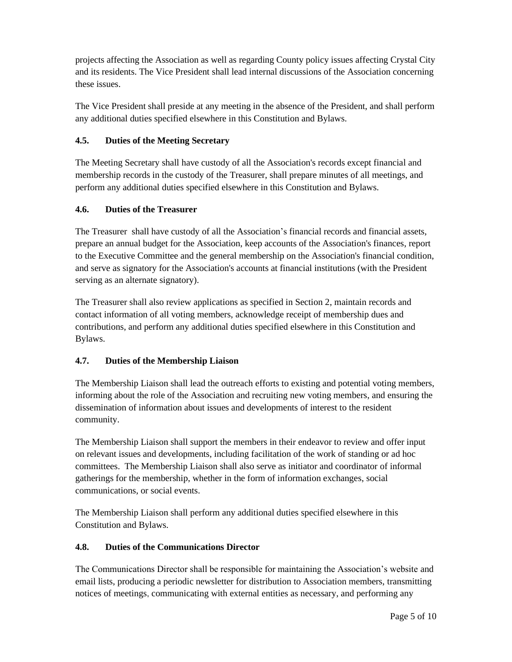projects affecting the Association as well as regarding County policy issues affecting Crystal City and its residents. The Vice President shall lead internal discussions of the Association concerning these issues.

The Vice President shall preside at any meeting in the absence of the President, and shall perform any additional duties specified elsewhere in this Constitution and Bylaws.

# **4.5. Duties of the Meeting Secretary**

The Meeting Secretary shall have custody of all the Association's records except financial and membership records in the custody of the Treasurer, shall prepare minutes of all meetings, and perform any additional duties specified elsewhere in this Constitution and Bylaws.

### **4.6. Duties of the Treasurer**

The Treasurer shall have custody of all the Association's financial records and financial assets, prepare an annual budget for the Association, keep accounts of the Association's finances, report to the Executive Committee and the general membership on the Association's financial condition, and serve as signatory for the Association's accounts at financial institutions (with the President serving as an alternate signatory).

The Treasurer shall also review applications as specified in Section 2, maintain records and contact information of all voting members, acknowledge receipt of membership dues and contributions, and perform any additional duties specified elsewhere in this Constitution and Bylaws.

# **4.7. Duties of the Membership Liaison**

The Membership Liaison shall lead the outreach efforts to existing and potential voting members, informing about the role of the Association and recruiting new voting members, and ensuring the dissemination of information about issues and developments of interest to the resident community.

The Membership Liaison shall support the members in their endeavor to review and offer input on relevant issues and developments, including facilitation of the work of standing or ad hoc committees. The Membership Liaison shall also serve as initiator and coordinator of informal gatherings for the membership, whether in the form of information exchanges, social communications, or social events.

The Membership Liaison shall perform any additional duties specified elsewhere in this Constitution and Bylaws.

### **4.8. Duties of the Communications Director**

The Communications Director shall be responsible for maintaining the Association's website and email lists, producing a periodic newsletter for distribution to Association members, transmitting notices of meetings, communicating with external entities as necessary, and performing any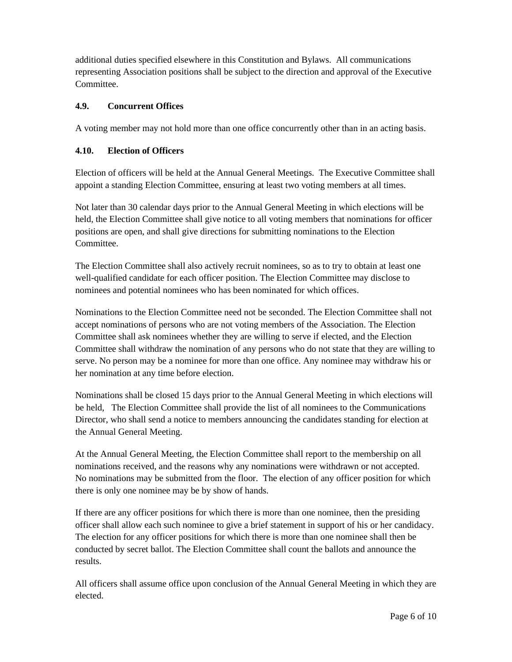additional duties specified elsewhere in this Constitution and Bylaws. All communications representing Association positions shall be subject to the direction and approval of the Executive Committee.

### **4.9. Concurrent Offices**

A voting member may not hold more than one office concurrently other than in an acting basis.

### **4.10. Election of Officers**

Election of officers will be held at the Annual General Meetings. The Executive Committee shall appoint a standing Election Committee, ensuring at least two voting members at all times.

Not later than 30 calendar days prior to the Annual General Meeting in which elections will be held, the Election Committee shall give notice to all voting members that nominations for officer positions are open, and shall give directions for submitting nominations to the Election Committee.

The Election Committee shall also actively recruit nominees, so as to try to obtain at least one well-qualified candidate for each officer position. The Election Committee may disclose to nominees and potential nominees who has been nominated for which offices.

Nominations to the Election Committee need not be seconded. The Election Committee shall not accept nominations of persons who are not voting members of the Association. The Election Committee shall ask nominees whether they are willing to serve if elected, and the Election Committee shall withdraw the nomination of any persons who do not state that they are willing to serve. No person may be a nominee for more than one office. Any nominee may withdraw his or her nomination at any time before election.

Nominations shall be closed 15 days prior to the Annual General Meeting in which elections will be held, The Election Committee shall provide the list of all nominees to the Communications Director, who shall send a notice to members announcing the candidates standing for election at the Annual General Meeting.

At the Annual General Meeting, the Election Committee shall report to the membership on all nominations received, and the reasons why any nominations were withdrawn or not accepted. No nominations may be submitted from the floor. The election of any officer position for which there is only one nominee may be by show of hands.

If there are any officer positions for which there is more than one nominee, then the presiding officer shall allow each such nominee to give a brief statement in support of his or her candidacy. The election for any officer positions for which there is more than one nominee shall then be conducted by secret ballot. The Election Committee shall count the ballots and announce the results.

All officers shall assume office upon conclusion of the Annual General Meeting in which they are elected.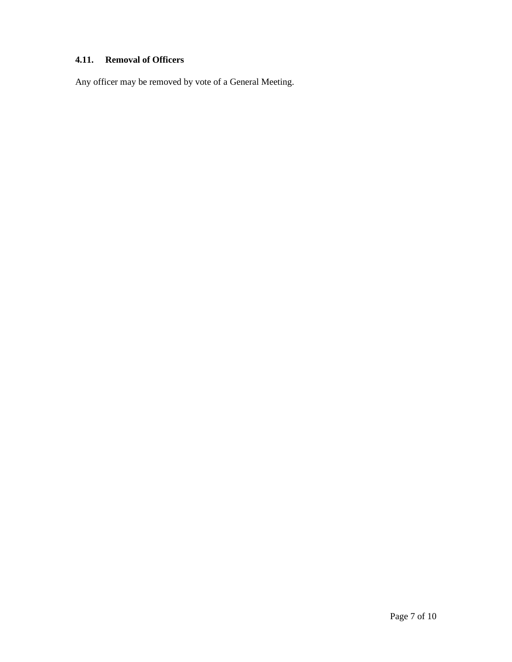# **4.11. Removal of Officers**

Any officer may be removed by vote of a General Meeting.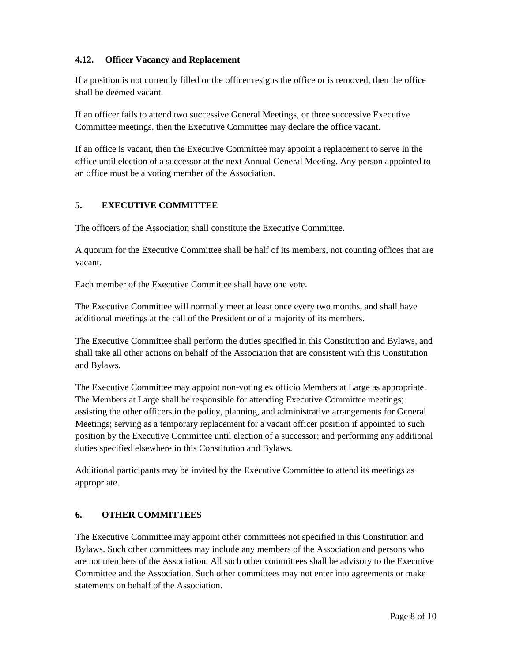### **4.12. Officer Vacancy and Replacement**

If a position is not currently filled or the officer resigns the office or is removed, then the office shall be deemed vacant.

If an officer fails to attend two successive General Meetings, or three successive Executive Committee meetings, then the Executive Committee may declare the office vacant.

If an office is vacant, then the Executive Committee may appoint a replacement to serve in the office until election of a successor at the next Annual General Meeting. Any person appointed to an office must be a voting member of the Association.

### **5. EXECUTIVE COMMITTEE**

The officers of the Association shall constitute the Executive Committee.

A quorum for the Executive Committee shall be half of its members, not counting offices that are vacant.

Each member of the Executive Committee shall have one vote.

The Executive Committee will normally meet at least once every two months, and shall have additional meetings at the call of the President or of a majority of its members.

The Executive Committee shall perform the duties specified in this Constitution and Bylaws, and shall take all other actions on behalf of the Association that are consistent with this Constitution and Bylaws.

The Executive Committee may appoint non-voting ex officio Members at Large as appropriate. The Members at Large shall be responsible for attending Executive Committee meetings; assisting the other officers in the policy, planning, and administrative arrangements for General Meetings; serving as a temporary replacement for a vacant officer position if appointed to such position by the Executive Committee until election of a successor; and performing any additional duties specified elsewhere in this Constitution and Bylaws.

Additional participants may be invited by the Executive Committee to attend its meetings as appropriate.

# **6. OTHER COMMITTEES**

The Executive Committee may appoint other committees not specified in this Constitution and Bylaws. Such other committees may include any members of the Association and persons who are not members of the Association. All such other committees shall be advisory to the Executive Committee and the Association. Such other committees may not enter into agreements or make statements on behalf of the Association.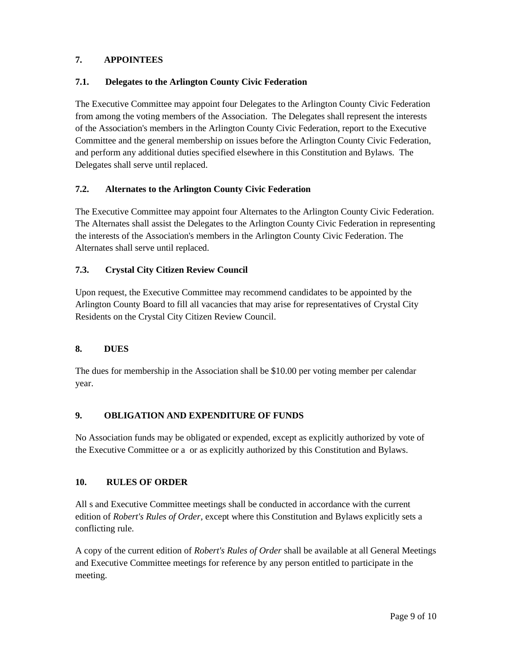### **7. APPOINTEES**

### **7.1. Delegates to the Arlington County Civic Federation**

The Executive Committee may appoint four Delegates to the Arlington County Civic Federation from among the voting members of the Association. The Delegates shall represent the interests of the Association's members in the Arlington County Civic Federation, report to the Executive Committee and the general membership on issues before the Arlington County Civic Federation, and perform any additional duties specified elsewhere in this Constitution and Bylaws. The Delegates shall serve until replaced.

### **7.2. Alternates to the Arlington County Civic Federation**

The Executive Committee may appoint four Alternates to the Arlington County Civic Federation. The Alternates shall assist the Delegates to the Arlington County Civic Federation in representing the interests of the Association's members in the Arlington County Civic Federation. The Alternates shall serve until replaced.

### **7.3. Crystal City Citizen Review Council**

Upon request, the Executive Committee may recommend candidates to be appointed by the Arlington County Board to fill all vacancies that may arise for representatives of Crystal City Residents on the Crystal City Citizen Review Council.

### **8. DUES**

The dues for membership in the Association shall be \$10.00 per voting member per calendar year.

### **9. OBLIGATION AND EXPENDITURE OF FUNDS**

No Association funds may be obligated or expended, except as explicitly authorized by vote of the Executive Committee or a or as explicitly authorized by this Constitution and Bylaws.

### **10. RULES OF ORDER**

All s and Executive Committee meetings shall be conducted in accordance with the current edition of *Robert's Rules of Order*, except where this Constitution and Bylaws explicitly sets a conflicting rule.

A copy of the current edition of *Robert's Rules of Order* shall be available at all General Meetings and Executive Committee meetings for reference by any person entitled to participate in the meeting.